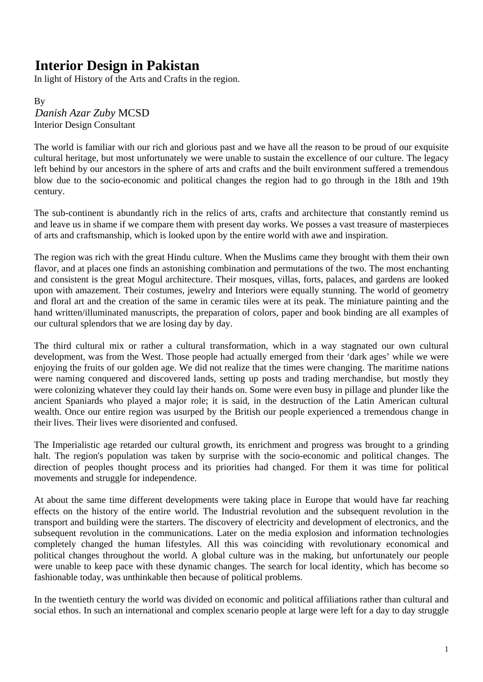## **Interior Design in Pakistan**

In light of History of the Arts and Crafts in the region.

By 1B*Danish Azar Zuby* MCSD Interior Design Consultant

The world is familiar with our rich and glorious past and we have all the reason to be proud of our exquisite cultural heritage, but most unfortunately we were unable to sustain the excellence of our culture. The legacy left behind by our ancestors in the sphere of arts and crafts and the built environment suffered a tremendous blow due to the socio-economic and political changes the region had to go through in the 18th and 19th century.

The sub-continent is abundantly rich in the relics of arts, crafts and architecture that constantly remind us and leave us in shame if we compare them with present day works. We posses a vast treasure of masterpieces of arts and craftsmanship, which is looked upon by the entire world with awe and inspiration.

The region was rich with the great Hindu culture. When the Muslims came they brought with them their own flavor, and at places one finds an astonishing combination and permutations of the two. The most enchanting and consistent is the great Mogul architecture. Their mosques, villas, forts, palaces, and gardens are looked upon with amazement. Their costumes, jewelry and Interiors were equally stunning. The world of geometry and floral art and the creation of the same in ceramic tiles were at its peak. The miniature painting and the hand written/illuminated manuscripts, the preparation of colors, paper and book binding are all examples of our cultural splendors that we are losing day by day.

The third cultural mix or rather a cultural transformation, which in a way stagnated our own cultural development, was from the West. Those people had actually emerged from their 'dark ages' while we were enjoying the fruits of our golden age. We did not realize that the times were changing. The maritime nations were naming conquered and discovered lands, setting up posts and trading merchandise, but mostly they were colonizing whatever they could lay their hands on. Some were even busy in pillage and plunder like the ancient Spaniards who played a major role; it is said, in the destruction of the Latin American cultural wealth. Once our entire region was usurped by the British our people experienced a tremendous change in their lives. Their lives were disoriented and confused.

The Imperialistic age retarded our cultural growth, its enrichment and progress was brought to a grinding halt. The region's population was taken by surprise with the socio-economic and political changes. The direction of peoples thought process and its priorities had changed. For them it was time for political movements and struggle for independence.

At about the same time different developments were taking place in Europe that would have far reaching effects on the history of the entire world. The Industrial revolution and the subsequent revolution in the transport and building were the starters. The discovery of electricity and development of electronics, and the subsequent revolution in the communications. Later on the media explosion and information technologies completely changed the human lifestyles. All this was coinciding with revolutionary economical and political changes throughout the world. A global culture was in the making, but unfortunately our people were unable to keep pace with these dynamic changes. The search for local identity, which has become so fashionable today, was unthinkable then because of political problems.

In the twentieth century the world was divided on economic and political affiliations rather than cultural and social ethos. In such an international and complex scenario people at large were left for a day to day struggle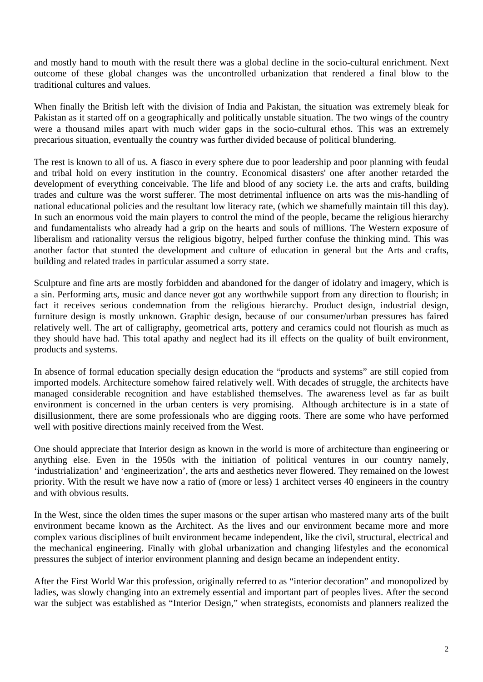and mostly hand to mouth with the result there was a global decline in the socio-cultural enrichment. Next outcome of these global changes was the uncontrolled urbanization that rendered a final blow to the traditional cultures and values.

When finally the British left with the division of India and Pakistan, the situation was extremely bleak for Pakistan as it started off on a geographically and politically unstable situation. The two wings of the country were a thousand miles apart with much wider gaps in the socio-cultural ethos. This was an extremely precarious situation, eventually the country was further divided because of political blundering.

The rest is known to all of us. A fiasco in every sphere due to poor leadership and poor planning with feudal and tribal hold on every institution in the country. Economical disasters' one after another retarded the development of everything conceivable. The life and blood of any society i.e. the arts and crafts, building trades and culture was the worst sufferer. The most detrimental influence on arts was the mis-handling of national educational policies and the resultant low literacy rate, (which we shamefully maintain till this day). In such an enormous void the main players to control the mind of the people, became the religious hierarchy and fundamentalists who already had a grip on the hearts and souls of millions. The Western exposure of liberalism and rationality versus the religious bigotry, helped further confuse the thinking mind. This was another factor that stunted the development and culture of education in general but the Arts and crafts, building and related trades in particular assumed a sorry state.

Sculpture and fine arts are mostly forbidden and abandoned for the danger of idolatry and imagery, which is a sin. Performing arts, music and dance never got any worthwhile support from any direction to flourish; in fact it receives serious condemnation from the religious hierarchy. Product design, industrial design, furniture design is mostly unknown. Graphic design, because of our consumer/urban pressures has faired relatively well. The art of calligraphy, geometrical arts, pottery and ceramics could not flourish as much as they should have had. This total apathy and neglect had its ill effects on the quality of built environment, products and systems.

In absence of formal education specially design education the "products and systems" are still copied from imported models. Architecture somehow faired relatively well. With decades of struggle, the architects have managed considerable recognition and have established themselves. The awareness level as far as built environment is concerned in the urban centers is very promising. Although architecture is in a state of disillusionment, there are some professionals who are digging roots. There are some who have performed well with positive directions mainly received from the West.

One should appreciate that Interior design as known in the world is more of architecture than engineering or anything else. Even in the 1950s with the initiation of political ventures in our country namely, 'industrialization' and 'engineerization', the arts and aesthetics never flowered. They remained on the lowest priority. With the result we have now a ratio of (more or less) 1 architect verses 40 engineers in the country and with obvious results.

In the West, since the olden times the super masons or the super artisan who mastered many arts of the built environment became known as the Architect. As the lives and our environment became more and more complex various disciplines of built environment became independent, like the civil, structural, electrical and the mechanical engineering. Finally with global urbanization and changing lifestyles and the economical pressures the subject of interior environment planning and design became an independent entity.

After the First World War this profession, originally referred to as "interior decoration" and monopolized by ladies, was slowly changing into an extremely essential and important part of peoples lives. After the second war the subject was established as "Interior Design," when strategists, economists and planners realized the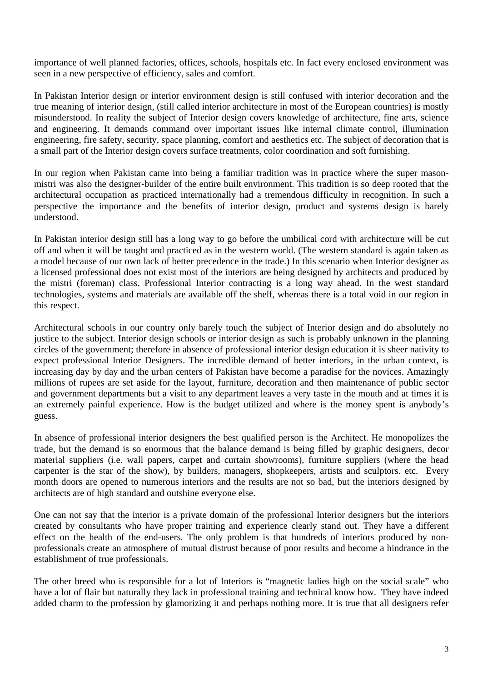importance of well planned factories, offices, schools, hospitals etc. In fact every enclosed environment was seen in a new perspective of efficiency, sales and comfort.

In Pakistan Interior design or interior environment design is still confused with interior decoration and the true meaning of interior design, (still called interior architecture in most of the European countries) is mostly misunderstood. In reality the subject of Interior design covers knowledge of architecture, fine arts, science and engineering. It demands command over important issues like internal climate control, illumination engineering, fire safety, security, space planning, comfort and aesthetics etc. The subject of decoration that is a small part of the Interior design covers surface treatments, color coordination and soft furnishing.

In our region when Pakistan came into being a familiar tradition was in practice where the super masonmistri was also the designer-builder of the entire built environment. This tradition is so deep rooted that the architectural occupation as practiced internationally had a tremendous difficulty in recognition. In such a perspective the importance and the benefits of interior design, product and systems design is barely understood.

In Pakistan interior design still has a long way to go before the umbilical cord with architecture will be cut off and when it will be taught and practiced as in the western world. (The western standard is again taken as a model because of our own lack of better precedence in the trade.) In this scenario when Interior designer as a licensed professional does not exist most of the interiors are being designed by architects and produced by the mistri (foreman) class. Professional Interior contracting is a long way ahead. In the west standard technologies, systems and materials are available off the shelf, whereas there is a total void in our region in this respect.

Architectural schools in our country only barely touch the subject of Interior design and do absolutely no justice to the subject. Interior design schools or interior design as such is probably unknown in the planning circles of the government; therefore in absence of professional interior design education it is sheer nativity to expect professional Interior Designers. The incredible demand of better interiors, in the urban context, is increasing day by day and the urban centers of Pakistan have become a paradise for the novices. Amazingly millions of rupees are set aside for the layout, furniture, decoration and then maintenance of public sector and government departments but a visit to any department leaves a very taste in the mouth and at times it is an extremely painful experience. How is the budget utilized and where is the money spent is anybody's guess.

In absence of professional interior designers the best qualified person is the Architect. He monopolizes the trade, but the demand is so enormous that the balance demand is being filled by graphic designers, decor material suppliers (i.e. wall papers, carpet and curtain showrooms), furniture suppliers (where the head carpenter is the star of the show), by builders, managers, shopkeepers, artists and sculptors. etc. Every month doors are opened to numerous interiors and the results are not so bad, but the interiors designed by architects are of high standard and outshine everyone else.

One can not say that the interior is a private domain of the professional Interior designers but the interiors created by consultants who have proper training and experience clearly stand out. They have a different effect on the health of the end-users. The only problem is that hundreds of interiors produced by nonprofessionals create an atmosphere of mutual distrust because of poor results and become a hindrance in the establishment of true professionals.

The other breed who is responsible for a lot of Interiors is "magnetic ladies high on the social scale" who have a lot of flair but naturally they lack in professional training and technical know how. They have indeed added charm to the profession by glamorizing it and perhaps nothing more. It is true that all designers refer